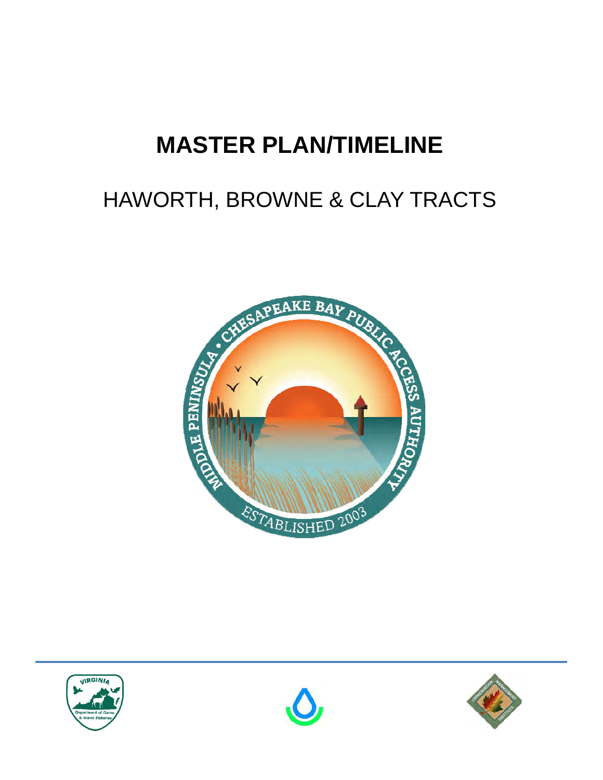## **MASTER PLAN/TIMELINE**

## HAWORTH, BROWNE & CLAY TRACTS







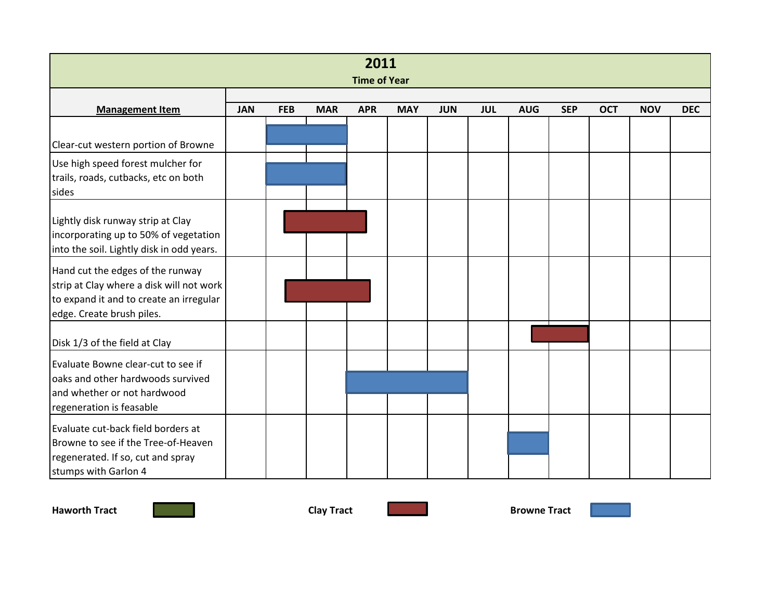| 2011<br><b>Time of Year</b>                                                                                                                          |            |            |            |            |            |            |            |            |            |            |            |            |
|------------------------------------------------------------------------------------------------------------------------------------------------------|------------|------------|------------|------------|------------|------------|------------|------------|------------|------------|------------|------------|
| <b>Management Item</b>                                                                                                                               | <b>JAN</b> | <b>FEB</b> | <b>MAR</b> | <b>APR</b> | <b>MAY</b> | <b>JUN</b> | <b>JUL</b> | <b>AUG</b> | <b>SEP</b> | <b>OCT</b> | <b>NOV</b> | <b>DEC</b> |
| Clear-cut western portion of Browne<br>Use high speed forest mulcher for<br>trails, roads, cutbacks, etc on both                                     |            |            |            |            |            |            |            |            |            |            |            |            |
| sides<br>Lightly disk runway strip at Clay<br>incorporating up to 50% of vegetation<br>into the soil. Lightly disk in odd years.                     |            |            |            |            |            |            |            |            |            |            |            |            |
| Hand cut the edges of the runway<br>strip at Clay where a disk will not work<br>to expand it and to create an irregular<br>edge. Create brush piles. |            |            |            |            |            |            |            |            |            |            |            |            |
| Disk 1/3 of the field at Clay                                                                                                                        |            |            |            |            |            |            |            |            |            |            |            |            |
| Evaluate Bowne clear-cut to see if<br>oaks and other hardwoods survived<br>and whether or not hardwood<br>regeneration is feasable                   |            |            |            |            |            |            |            |            |            |            |            |            |
| Evaluate cut-back field borders at<br>Browne to see if the Tree-of-Heaven<br>regenerated. If so, cut and spray<br>stumps with Garlon 4               |            |            |            |            |            |            |            |            |            |            |            |            |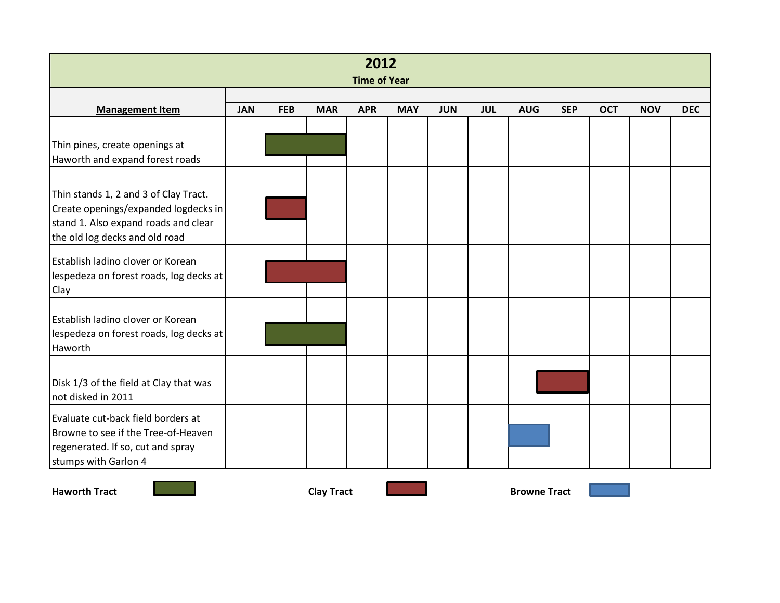| 2012<br><b>Time of Year</b>                                                                                                                             |            |            |            |            |            |            |            |            |            |            |            |            |
|---------------------------------------------------------------------------------------------------------------------------------------------------------|------------|------------|------------|------------|------------|------------|------------|------------|------------|------------|------------|------------|
| <b>Management Item</b>                                                                                                                                  | <b>JAN</b> | <b>FEB</b> | <b>MAR</b> | <b>APR</b> | <b>MAY</b> | <b>JUN</b> | <b>JUL</b> | <b>AUG</b> | <b>SEP</b> | <b>OCT</b> | <b>NOV</b> | <b>DEC</b> |
| Thin pines, create openings at<br>Haworth and expand forest roads                                                                                       |            |            |            |            |            |            |            |            |            |            |            |            |
| Thin stands 1, 2 and 3 of Clay Tract.<br>Create openings/expanded logdecks in<br>stand 1. Also expand roads and clear<br>the old log decks and old road |            |            |            |            |            |            |            |            |            |            |            |            |
| Establish ladino clover or Korean<br>lespedeza on forest roads, log decks at<br>Clay                                                                    |            |            |            |            |            |            |            |            |            |            |            |            |
| Establish ladino clover or Korean<br>lespedeza on forest roads, log decks at<br>Haworth                                                                 |            |            |            |            |            |            |            |            |            |            |            |            |
| Disk 1/3 of the field at Clay that was<br>not disked in 2011                                                                                            |            |            |            |            |            |            |            |            |            |            |            |            |
| Evaluate cut-back field borders at<br>Browne to see if the Tree-of-Heaven<br>regenerated. If so, cut and spray<br>stumps with Garlon 4                  |            |            |            |            |            |            |            |            |            |            |            |            |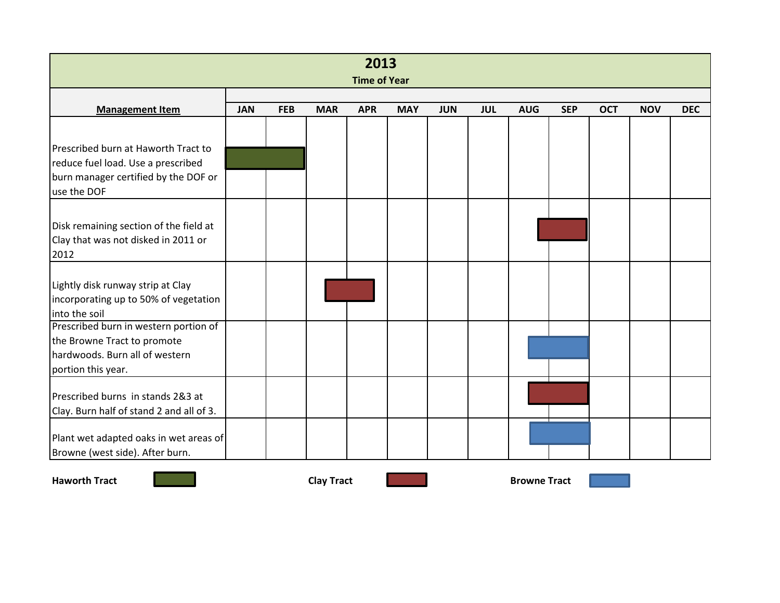| 2013<br><b>Time of Year</b>                                                                                                      |            |            |            |            |            |            |            |            |            |            |            |            |
|----------------------------------------------------------------------------------------------------------------------------------|------------|------------|------------|------------|------------|------------|------------|------------|------------|------------|------------|------------|
| <b>Management Item</b>                                                                                                           | <b>JAN</b> | <b>FEB</b> | <b>MAR</b> | <b>APR</b> | <b>MAY</b> | <b>JUN</b> | <b>JUL</b> | <b>AUG</b> | <b>SEP</b> | <b>OCT</b> | <b>NOV</b> | <b>DEC</b> |
| Prescribed burn at Haworth Tract to<br>reduce fuel load. Use a prescribed<br>burn manager certified by the DOF or<br>use the DOF |            |            |            |            |            |            |            |            |            |            |            |            |
| Disk remaining section of the field at<br>Clay that was not disked in 2011 or<br>2012                                            |            |            |            |            |            |            |            |            |            |            |            |            |
| Lightly disk runway strip at Clay<br>incorporating up to 50% of vegetation<br>into the soil                                      |            |            |            |            |            |            |            |            |            |            |            |            |
| Prescribed burn in western portion of<br>the Browne Tract to promote<br>hardwoods. Burn all of western<br>portion this year.     |            |            |            |            |            |            |            |            |            |            |            |            |
| Prescribed burns in stands 2&3 at<br>Clay. Burn half of stand 2 and all of 3.                                                    |            |            |            |            |            |            |            |            |            |            |            |            |
| Plant wet adapted oaks in wet areas of<br>Browne (west side). After burn.                                                        |            |            |            |            |            |            |            |            |            |            |            |            |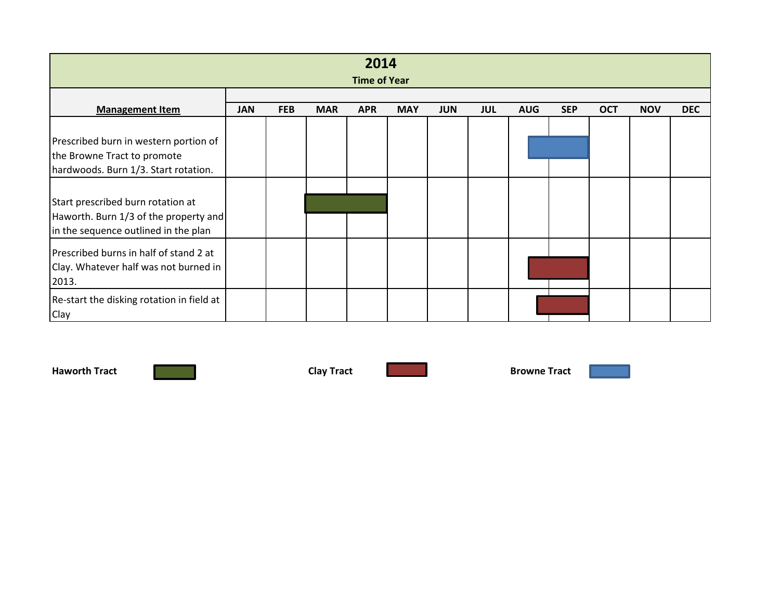| 2014<br><b>Time of Year</b>                                                                                        |            |            |            |            |            |            |            |            |            |            |            |            |
|--------------------------------------------------------------------------------------------------------------------|------------|------------|------------|------------|------------|------------|------------|------------|------------|------------|------------|------------|
| <b>Management Item</b>                                                                                             | <b>JAN</b> | <b>FEB</b> | <b>MAR</b> | <b>APR</b> | <b>MAY</b> | <b>JUN</b> | <b>JUL</b> | <b>AUG</b> | <b>SEP</b> | <b>OCT</b> | <b>NOV</b> | <b>DEC</b> |
| Prescribed burn in western portion of<br>the Browne Tract to promote<br>hardwoods. Burn 1/3. Start rotation.       |            |            |            |            |            |            |            |            |            |            |            |            |
| Start prescribed burn rotation at<br>Haworth. Burn 1/3 of the property and<br>in the sequence outlined in the plan |            |            |            |            |            |            |            |            |            |            |            |            |
| Prescribed burns in half of stand 2 at<br>Clay. Whatever half was not burned in<br>2013.                           |            |            |            |            |            |            |            |            |            |            |            |            |
| Re-start the disking rotation in field at<br>Clay                                                                  |            |            |            |            |            |            |            |            |            |            |            |            |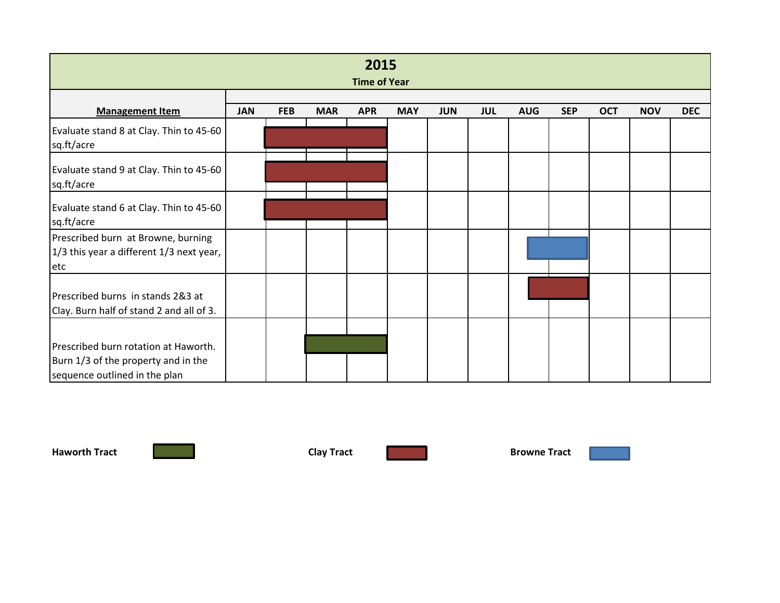| 2015<br><b>Time of Year</b>                                                                                  |            |            |            |            |            |            |            |            |            |            |            |            |
|--------------------------------------------------------------------------------------------------------------|------------|------------|------------|------------|------------|------------|------------|------------|------------|------------|------------|------------|
|                                                                                                              |            |            |            |            |            |            |            |            |            |            |            |            |
| <b>Management Item</b>                                                                                       | <b>JAN</b> | <b>FEB</b> | <b>MAR</b> | <b>APR</b> | <b>MAY</b> | <b>JUN</b> | <b>JUL</b> | <b>AUG</b> | <b>SEP</b> | <b>OCT</b> | <b>NOV</b> | <b>DEC</b> |
| Evaluate stand 8 at Clay. Thin to 45-60<br>sq.ft/acre                                                        |            |            |            |            |            |            |            |            |            |            |            |            |
| Evaluate stand 9 at Clay. Thin to 45-60<br>sq.ft/acre                                                        |            |            |            |            |            |            |            |            |            |            |            |            |
| Evaluate stand 6 at Clay. Thin to 45-60<br>sq.ft/acre                                                        |            |            |            |            |            |            |            |            |            |            |            |            |
| Prescribed burn at Browne, burning<br>1/3 this year a different 1/3 next year,<br>etc                        |            |            |            |            |            |            |            |            |            |            |            |            |
| Prescribed burns in stands 2&3 at<br>Clay. Burn half of stand 2 and all of 3.                                |            |            |            |            |            |            |            |            |            |            |            |            |
| Prescribed burn rotation at Haworth.<br>Burn 1/3 of the property and in the<br>sequence outlined in the plan |            |            |            |            |            |            |            |            |            |            |            |            |